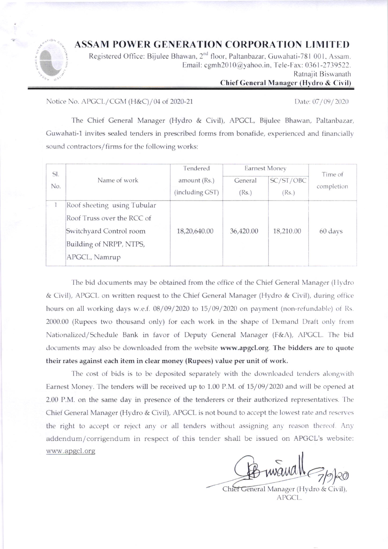## **ASSAM POWER GENERATION CORPORATION LIMITED**



Registered Office: Bijulee Bhawan, 2<sup>nd</sup> floor, Paltanbazar, Guwahati-781 001, Assam. Email: cgmh2010@yahoo.in, Tele-Fax: 0361-2739522. Ratnajit Biswanath

## Chief General Manager (Hydro & Civil)

Notice No. APGCL/CGM (H&C)/04 of 2020-21

Date: 07/09/2020

The Chief General Manager (Hydro & Civil), APGCL, Bijulee Bhawan, Paltanbazar, Guwahati-1 invites sealed tenders in prescribed forms from bonafide, experienced and financially sound contractors/firms for the following works:

| SI.<br>No. | Name of work                                                                                                                     | Tendered<br>amount (Rs.)<br>(including GST) | Earnest Money    |                    | Time of    |
|------------|----------------------------------------------------------------------------------------------------------------------------------|---------------------------------------------|------------------|--------------------|------------|
|            |                                                                                                                                  |                                             | General<br>(Rs.) | SC/ST/OBC<br>(Rs.) | completion |
|            | Roof sheeting using Tubular<br>Roof Truss over the RCC of<br>Switchyard Control room<br>Building of NRPP, NTPS,<br>APGCL, Namrup | 18,20,640.00                                | 36,420.00        | 18,210.00          | 60 days    |

The bid documents may be obtained from the office of the Chief General Manager (Hydro & Civil), APGCL on written request to the Chief General Manager (Hydro & Civil), during office hours on all working days w.e.f. 08/09/2020 to 15/09/2020 on payment (non-refundable) of Rs. 2000.00 (Rupees two thousand only) for each work in the shape of Demand Draft only from Nationalized/Schedule Bank in favor of Deputy General Manager (F&A), APGCL. The bid documents may also be downloaded from the website www.apgcl.org. The bidders are to quote their rates against each item in clear money (Rupees) value per unit of work.

The cost of bids is to be deposited separately with the downloaded tenders alongwith Earnest Money. The tenders will be received up to 1.00 P.M. of 15/09/2020 and will be opened at 2.00 P.M. on the same day in presence of the tenderers or their authorized representatives. The Chief General Manager (Hydro & Civil), APGCL is not bound to accept the lowest rate and reserves the right to accept or reject any or all tenders without assigning any reason thereof. Any addendum/corrigendum in respect of this tender shall be issued on APGCL's website: www.apgcl.org

Chief General Manager (Hydro & Civil), APGCL.